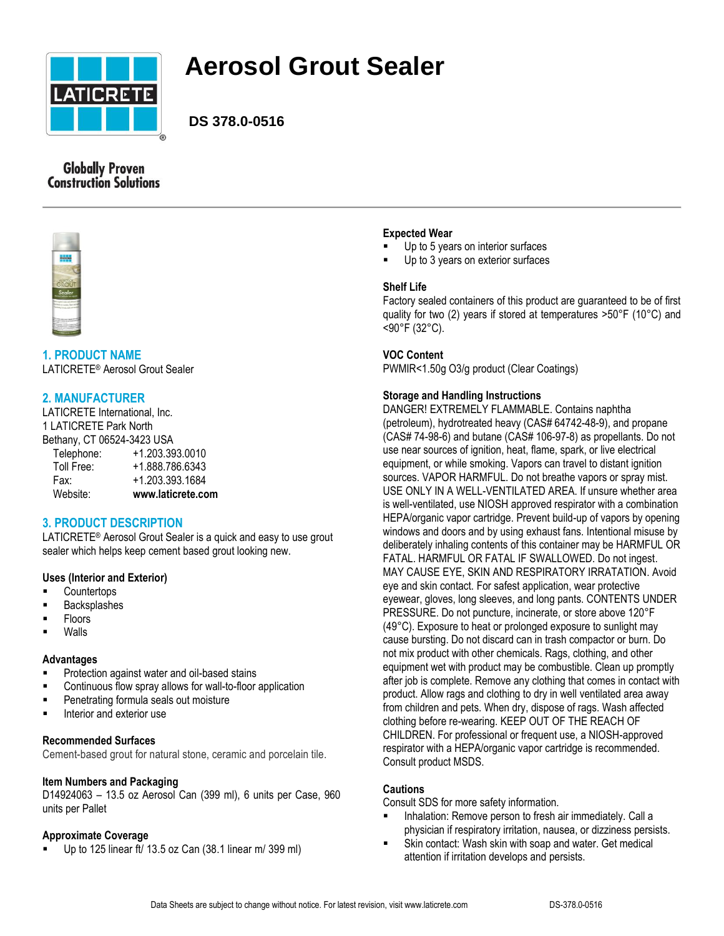

# **Aerosol Grout Sealer**

**DS 378.0-0516**

# **Globally Proven Construction Solutions**



# **1. PRODUCT NAME**

LATICRETE® Aerosol Grout Sealer

# **2. MANUFACTURER**

LATICRETE International, Inc. 1 LATICRETE Park North Bethany, CT 06524-3423 USA Telephone: +1.203.393.0010 Toll Free: +1.888.786.6343 Fax: +1.203.393.1684 Website: **www.laticrete.com**

# **3. PRODUCT DESCRIPTION**

LATICRETE® Aerosol Grout Sealer is a quick and easy to use grout sealer which helps keep cement based grout looking new.

# **Uses (Interior and Exterior)**

- **Countertops**
- Backsplashes
- Floors
- Walls

#### **Advantages**

- Protection against water and oil-based stains
- Continuous flow spray allows for wall-to-floor application
- Penetrating formula seals out moisture
- **Interior and exterior use**

# **Recommended Surfaces**

Cement-based grout for natural stone, ceramic and porcelain tile.

#### **Item Numbers and Packaging**

D14924063 – 13.5 oz Aerosol Can (399 ml), 6 units per Case, 960 units per Pallet

#### **Approximate Coverage**

Up to 125 linear ft/ 13.5 oz Can (38.1 linear m/ 399 ml)

#### **Expected Wear**

- Up to 5 years on interior surfaces
- Up to 3 years on exterior surfaces

#### **Shelf Life**

Factory sealed containers of this product are guaranteed to be of first quality for two (2) years if stored at temperatures >50°F (10°C) and <90°F (32°C).

#### **VOC Content**

PWMIR<1.50g O3/g product (Clear Coatings)

# **Storage and Handling Instructions**

DANGER! EXTREMELY FLAMMABLE. Contains naphtha (petroleum), hydrotreated heavy (CAS# 64742-48-9), and propane (CAS# 74-98-6) and butane (CAS# 106-97-8) as propellants. Do not use near sources of ignition, heat, flame, spark, or live electrical equipment, or while smoking. Vapors can travel to distant ignition sources. VAPOR HARMFUL. Do not breathe vapors or spray mist. USE ONLY IN A WELL-VENTILATED AREA. If unsure whether area is well-ventilated, use NIOSH approved respirator with a combination HEPA/organic vapor cartridge. Prevent build-up of vapors by opening windows and doors and by using exhaust fans. Intentional misuse by deliberately inhaling contents of this container may be HARMFUL OR FATAL. HARMFUL OR FATAL IF SWALLOWED. Do not ingest. MAY CAUSE EYE, SKIN AND RESPIRATORY IRRATATION. Avoid eye and skin contact. For safest application, wear protective eyewear, gloves, long sleeves, and long pants. CONTENTS UNDER PRESSURE. Do not puncture, incinerate, or store above 120°F (49°C). Exposure to heat or prolonged exposure to sunlight may cause bursting. Do not discard can in trash compactor or burn. Do not mix product with other chemicals. Rags, clothing, and other equipment wet with product may be combustible. Clean up promptly after job is complete. Remove any clothing that comes in contact with product. Allow rags and clothing to dry in well ventilated area away from children and pets. When dry, dispose of rags. Wash affected clothing before re-wearing. KEEP OUT OF THE REACH OF CHILDREN. For professional or frequent use, a NIOSH-approved respirator with a HEPA/organic vapor cartridge is recommended. Consult product MSDS.

#### **Cautions**

Consult SDS for more safety information.

- **IDED** Inhalation: Remove person to fresh air immediately. Call a physician if respiratory irritation, nausea, or dizziness persists.
- Skin contact: Wash skin with soap and water. Get medical attention if irritation develops and persists.